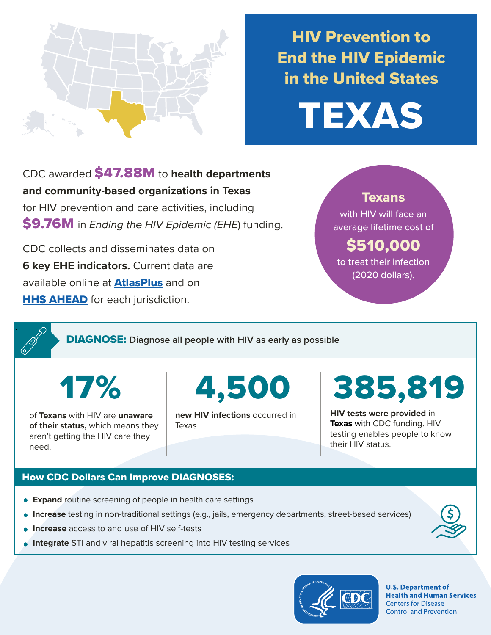

# HIV Prevention to End the HIV Epidemic in the United States

TEXAS

CDC awarded \$47.88M to **health departments and community-based organizations in Texas**  for HIV prevention and care activities, including \$9.76M in *Ending the HIV Epidemic (EHE*) funding.

CDC collects and disseminates data on **6 key EHE indicators.** Current data are available online at **[AtlasPlus](https://www.cdc.gov/nchhstp/atlas/index.htm)** and on **[HHS AHEAD](https://ahead.hiv.gov/)** for each jurisdiction.

## **Texans**

with HIV will face an average lifetime cost of

## \$510,000

to treat their infection (2020 dollars).

DIAGNOSE: **Diagnose all people with HIV as early as possible** 

17%

.

of **Texans** with HIV are **unaware of their status,** which means they aren't getting the HIV care they need.

4,500

**new HIV infections** occurred in Texas.

385,819

**HIV tests were provided** in **Texas** with CDC funding. HIV testing enables people to know their HIV status.

## How CDC Dollars Can Improve DIAGNOSES:

- **Expand** routine screening of people in health care settings
- **Increase** testing in non-traditional settings (e.g., jails, emergency departments, street-based services)
- **Increase** access to and use of HIV self-tests
- **Integrate** STI and viral hepatitis screening into HIV testing services



**U.S. Department of Health and Human Services Centers for Disease Control and Prevention**